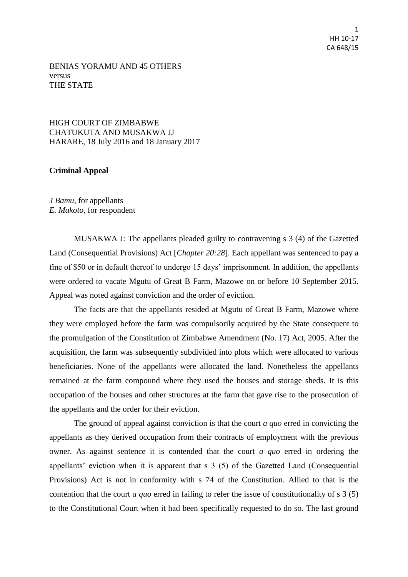1 HH 10-17 CA 648/15

## BENIAS YORAMU AND 45 OTHERS versus THE STATE

## HIGH COURT OF ZIMBABWE CHATUKUTA AND MUSAKWA JJ HARARE, 18 July 2016 and 18 January 2017

## **Criminal Appeal**

*J Bamu*, for appellants *E. Makoto*, for respondent

MUSAKWA J: The appellants pleaded guilty to contravening s 3 (4) of the Gazetted Land (Consequential Provisions) Act [*Chapter 20:28*]. Each appellant was sentenced to pay a fine of \$50 or in default thereof to undergo 15 days' imprisonment. In addition, the appellants were ordered to vacate Mgutu of Great B Farm, Mazowe on or before 10 September 2015. Appeal was noted against conviction and the order of eviction.

The facts are that the appellants resided at Mgutu of Great B Farm, Mazowe where they were employed before the farm was compulsorily acquired by the State consequent to the promulgation of the Constitution of Zimbabwe Amendment (No. 17) Act, 2005. After the acquisition, the farm was subsequently subdivided into plots which were allocated to various beneficiaries. None of the appellants were allocated the land. Nonetheless the appellants remained at the farm compound where they used the houses and storage sheds. It is this occupation of the houses and other structures at the farm that gave rise to the prosecution of the appellants and the order for their eviction.

The ground of appeal against conviction is that the court *a quo* erred in convicting the appellants as they derived occupation from their contracts of employment with the previous owner. As against sentence it is contended that the court *a quo* erred in ordering the appellants' eviction when it is apparent that s 3 (5) of the Gazetted Land (Consequential Provisions) Act is not in conformity with s 74 of the Constitution. Allied to that is the contention that the court *a quo* erred in failing to refer the issue of constitutionality of s 3 (5) to the Constitutional Court when it had been specifically requested to do so. The last ground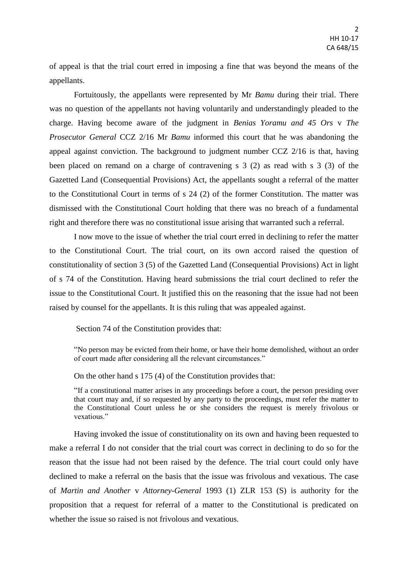of appeal is that the trial court erred in imposing a fine that was beyond the means of the appellants.

Fortuitously, the appellants were represented by Mr *Bamu* during their trial. There was no question of the appellants not having voluntarily and understandingly pleaded to the charge. Having become aware of the judgment in *Benias Yoramu and 45 Ors* v *The Prosecutor General* CCZ 2/16 Mr *Bamu* informed this court that he was abandoning the appeal against conviction. The background to judgment number CCZ 2/16 is that, having been placed on remand on a charge of contravening s 3 (2) as read with s 3 (3) of the Gazetted Land (Consequential Provisions) Act, the appellants sought a referral of the matter to the Constitutional Court in terms of s 24 (2) of the former Constitution. The matter was dismissed with the Constitutional Court holding that there was no breach of a fundamental right and therefore there was no constitutional issue arising that warranted such a referral.

I now move to the issue of whether the trial court erred in declining to refer the matter to the Constitutional Court. The trial court, on its own accord raised the question of constitutionality of section 3 (5) of the Gazetted Land (Consequential Provisions) Act in light of s 74 of the Constitution. Having heard submissions the trial court declined to refer the issue to the Constitutional Court. It justified this on the reasoning that the issue had not been raised by counsel for the appellants. It is this ruling that was appealed against.

Section 74 of the Constitution provides that:

"No person may be evicted from their home, or have their home demolished, without an order of court made after considering all the relevant circumstances."

On the other hand s 175 (4) of the Constitution provides that:

"If a constitutional matter arises in any proceedings before a court, the person presiding over that court may and, if so requested by any party to the proceedings, must refer the matter to the Constitutional Court unless he or she considers the request is merely frivolous or vexatious."

Having invoked the issue of constitutionality on its own and having been requested to make a referral I do not consider that the trial court was correct in declining to do so for the reason that the issue had not been raised by the defence. The trial court could only have declined to make a referral on the basis that the issue was frivolous and vexatious. The case of *Martin and Another* v *Attorney-General* 1993 (1) ZLR 153 (S) is authority for the proposition that a request for referral of a matter to the Constitutional is predicated on whether the issue so raised is not frivolous and vexatious.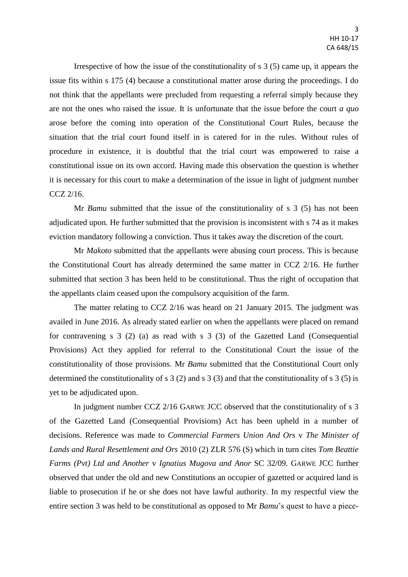Irrespective of how the issue of the constitutionality of s 3 (5) came up, it appears the issue fits within s 175 (4) because a constitutional matter arose during the proceedings. I do not think that the appellants were precluded from requesting a referral simply because they are not the ones who raised the issue. It is unfortunate that the issue before the court *a quo* arose before the coming into operation of the Constitutional Court Rules, because the situation that the trial court found itself in is catered for in the rules. Without rules of procedure in existence, it is doubtful that the trial court was empowered to raise a constitutional issue on its own accord. Having made this observation the question is whether it is necessary for this court to make a determination of the issue in light of judgment number CCZ 2/16.

Mr *Bamu* submitted that the issue of the constitutionality of s 3 (5) has not been adjudicated upon. He further submitted that the provision is inconsistent with s 74 as it makes eviction mandatory following a conviction. Thus it takes away the discretion of the court.

Mr *Makoto* submitted that the appellants were abusing court process. This is because the Constitutional Court has already determined the same matter in CCZ 2/16. He further submitted that section 3 has been held to be constitutional. Thus the right of occupation that the appellants claim ceased upon the compulsory acquisition of the farm.

The matter relating to CCZ 2/16 was heard on 21 January 2015. The judgment was availed in June 2016. As already stated earlier on when the appellants were placed on remand for contravening s 3 (2) (a) as read with s 3 (3) of the Gazetted Land (Consequential Provisions) Act they applied for referral to the Constitutional Court the issue of the constitutionality of those provisions. Mr *Bamu* submitted that the Constitutional Court only determined the constitutionality of s 3 (2) and s 3 (3) and that the constitutionality of s 3 (5) is yet to be adjudicated upon.

In judgment number CCZ 2/16 GARWE JCC observed that the constitutionality of s 3 of the Gazetted Land (Consequential Provisions) Act has been upheld in a number of decisions. Reference was made to *Commercial Farmers Union And Ors* v *The Minister of Lands and Rural Resettlement and Ors* 2010 (2) ZLR 576 (S) which in turn cites *Tom Beattie Farms (Pvt) Ltd and Another* v *Ignatius Mugova and Anor* SC 32/09. GARWE JCC further observed that under the old and new Constitutions an occupier of gazetted or acquired land is liable to prosecution if he or she does not have lawful authority. In my respectful view the entire section 3 was held to be constitutional as opposed to Mr *Bamu*'s quest to have a piece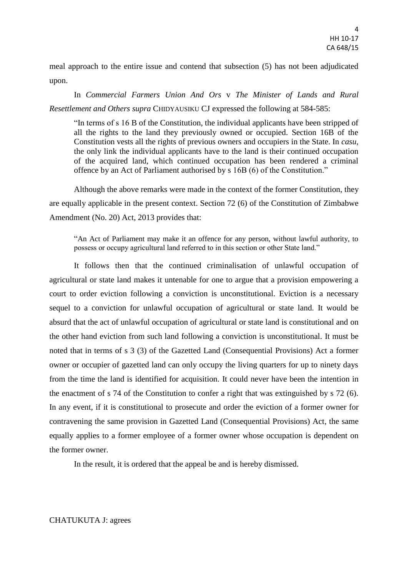meal approach to the entire issue and contend that subsection (5) has not been adjudicated upon.

In *Commercial Farmers Union And Ors* v *The Minister of Lands and Rural Resettlement and Others supra* CHIDYAUSIKU CJ expressed the following at 584-585:

"In terms of s 16 B of the Constitution, the individual applicants have been stripped of all the rights to the land they previously owned or occupied. Section 16B of the Constitution vests all the rights of previous owners and occupiers in the State. In *casu*, the only link the individual applicants have to the land is their continued occupation of the acquired land, which continued occupation has been rendered a criminal offence by an Act of Parliament authorised by s 16B (6) of the Constitution."

Although the above remarks were made in the context of the former Constitution, they are equally applicable in the present context. Section 72 (6) of the Constitution of Zimbabwe Amendment (No. 20) Act, 2013 provides that:

"An Act of Parliament may make it an offence for any person, without lawful authority, to possess or occupy agricultural land referred to in this section or other State land."

It follows then that the continued criminalisation of unlawful occupation of agricultural or state land makes it untenable for one to argue that a provision empowering a court to order eviction following a conviction is unconstitutional. Eviction is a necessary sequel to a conviction for unlawful occupation of agricultural or state land. It would be absurd that the act of unlawful occupation of agricultural or state land is constitutional and on the other hand eviction from such land following a conviction is unconstitutional. It must be noted that in terms of s 3 (3) of the Gazetted Land (Consequential Provisions) Act a former owner or occupier of gazetted land can only occupy the living quarters for up to ninety days from the time the land is identified for acquisition. It could never have been the intention in the enactment of s 74 of the Constitution to confer a right that was extinguished by s 72 (6). In any event, if it is constitutional to prosecute and order the eviction of a former owner for contravening the same provision in Gazetted Land (Consequential Provisions) Act, the same equally applies to a former employee of a former owner whose occupation is dependent on the former owner.

In the result, it is ordered that the appeal be and is hereby dismissed.

## CHATUKUTA J: agrees